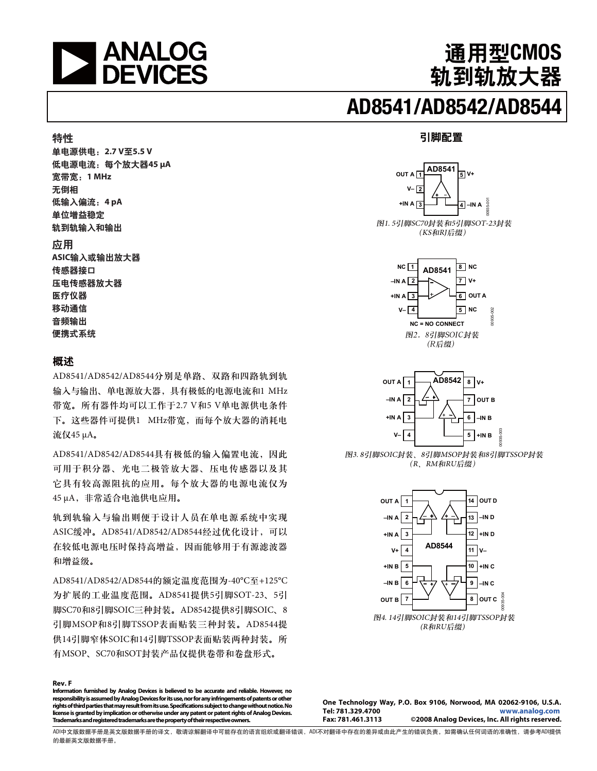

通用型CMOS

轨到轨放大器

#### 引脚配置







**One Technology Way, P.O. Box 9106, Norwood, MA 02062-9106, U.S.A. Tel: 781.329.4700 www.analog.com** ©2008 Analog Devices, Inc. All rights reserved.

单电源供电: 2.7 V至5.5 V 低电源电流: 每个放大器45 μA 宽带宽: 1 MHz 无倒相 低输入偏流: 4 pA 单位增益稳定 轨到轨输入和输出

#### 应用

特性

**ASIC输入或输出放大器** 传感器接口 压电传感器放大器 医疗仪器 移动通信 音频输出 便携式系统

#### 概述

AD8541/AD8542/AD8544分别是单路、双路和四路轨到轨 输入与输出、单电源放大器,具有极低的电源电流和1 MHz 带宽。所有器件均可以工作于2.7 V和5 V单电源供电条件 下。这些器件可提供1 MHz带宽, 而每个放大器的消耗电 流仅45 μA。

AD8541/AD8542/AD8544具有极低的输入偏置电流, 因此 可用于积分器、光电二极管放大器、压电传感器以及其 它具有较高源阻抗的应用。每个放大器的电源电流仅为 45 μA, 非常适合电池供电应用。

轨到轨输入与输出则便于设计人员在单电源系统中实现 ASIC缓冲。AD8541/AD8542/AD8544经过优化设计, 可以 在较低电源电压时保持高增益,因而能够用于有源滤波器 和增益级。

AD8541/AD8542/AD8544的额定温度范围为-40°C至+125°C 为扩展的工业温度范围。AD8541提供5引脚SOT-23、5引<br>""Secue adi""secuenti idiu - adecelli "adi""secue -脚SC70和8引脚SOIC三种封装。AD8542提供8引脚SOIC、8 8 ᆅগMSOPࢅ8ᆅগTSSOP௬ཌྷጎෙዖހጎAD8544༵ 供14引脚窄体SOIC和14引脚TSSOP表面贴装两种封装。所 有MSOP、SC70和SOT封装产品仅提供卷带和卷盘形式。

**Rev. F Information furnished by Analog Devices is believed to be accurate and reliable. However, no responsibility is assumed by Analog Devices for its use, nor for any infringements of patents or other rights of third parties that may result from its use. Specifications subject to change without notice. No license is granted by implication or otherwise under any patent or patent rights of Analog Devices. Trademarks and registered trademarks are the property of their respective owners.** 

ADI中文版数据手册是英文版数据手册的译文,敬请谅解翻译中可能存在的语言组织或翻译错误,ADI不对翻译中存在的差异或由此产生的错误负责。如需确认任何词语的准确性,请参考ADI提供 的最新英文版数据手册。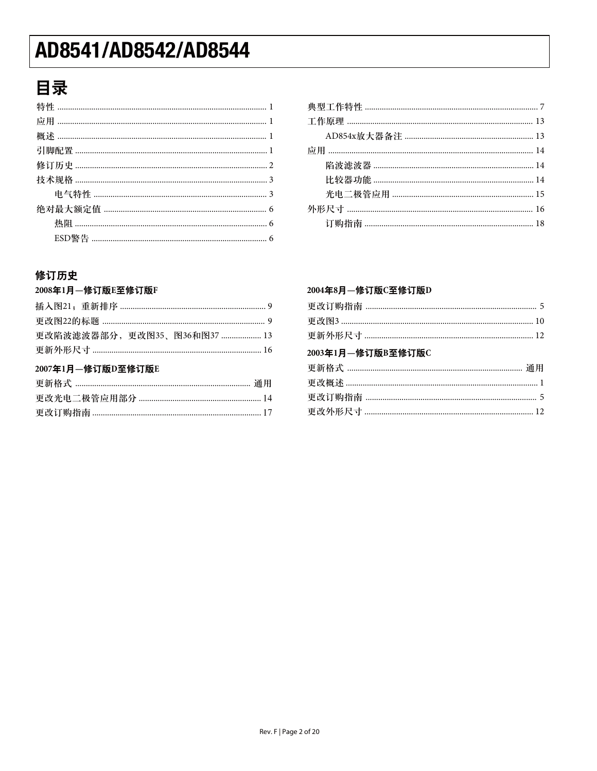### 目录

#### 修订历史

#### 2008年1月一修订版E至修订版F

| 更改陷波滤波器部分,更改图35、图36和图37  13 |  |
|-----------------------------|--|
|                             |  |
|                             |  |
| 2007年1月—修订版D至修订版E           |  |
|                             |  |
|                             |  |

#### 2004年8月-修订版C至修订版D

| 2003年1月-修订版B至修订版C |  |
|-------------------|--|
|                   |  |
|                   |  |
|                   |  |
|                   |  |
|                   |  |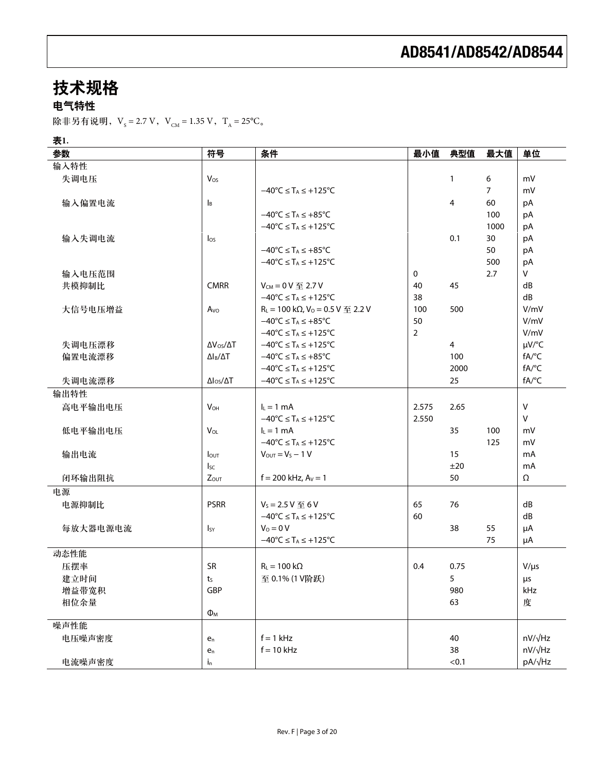## 技术规格

电气特性

除非另有说明,V<sub>s</sub>=2.7 V,V<sub>CM</sub> = 1.35 V,T<sub>A</sub> = 25°C。

#### 表1.

| 参数       | 符号                        | 条件                                                             | 最小值            | 典型值            | 最大值  | 单位           |
|----------|---------------------------|----------------------------------------------------------------|----------------|----------------|------|--------------|
| 输入特性     |                           |                                                                |                |                |      |              |
| 失调电压     | $V_{OS}$                  |                                                                |                | 1              | 6    | mV           |
|          |                           | $-40^{\circ}$ C $\leq$ T <sub>A</sub> $\leq$ +125 $^{\circ}$ C |                |                | 7    | mV           |
| 输入偏置电流   | $\mathsf{I}_{\mathsf{B}}$ |                                                                |                | 4              | 60   | pA           |
|          |                           | $-40^{\circ}C \leq T_A \leq +85^{\circ}C$                      |                |                | 100  | pA           |
|          |                           | $-40^{\circ}C \leq T_A \leq +125^{\circ}C$                     |                |                | 1000 | pA           |
| 输入失调电流   | $\log$                    |                                                                |                | 0.1            | 30   | pA           |
|          |                           | $-40^{\circ}C \leq T_A \leq +85^{\circ}C$                      |                |                | 50   | pA           |
|          |                           | $-40^{\circ}C \leq T_A \leq +125^{\circ}C$                     |                |                | 500  | pA           |
| 输入电压范围   |                           |                                                                | $\mathbf 0$    |                | 2.7  | V            |
| 共模抑制比    | <b>CMRR</b>               | $V_{CM} = 0 V \nsubseteq 2.7 V$                                | 40             | 45             |      | dB           |
|          |                           | $-40^{\circ}C \leq T_A \leq +125^{\circ}C$                     | 38             |                |      | dB           |
| 大信号电压增益  | A <sub>vo</sub>           | $R_L$ = 100 kΩ, V <sub>0</sub> = 0.5 V $\text{F}$ 2.2 V        | 100            | 500            |      | V/mV         |
|          |                           | $-40^{\circ}C \leq T_A \leq +85^{\circ}C$                      | 50             |                |      | V/mV         |
|          |                           | $-40^{\circ}C \leq T_A \leq +125^{\circ}C$                     | $\overline{2}$ |                |      | V/mV         |
| 失调电压漂移   | $\Delta V_{OS}/\Delta T$  | $-40^{\circ}$ C $\leq$ T <sub>A</sub> $\leq$ +125°C            |                | $\overline{4}$ |      | µV/°C        |
| 偏置电流漂移   | $\Delta I_B/\Delta T$     | $-40^{\circ}C \leq T_A \leq +85^{\circ}C$                      |                | 100            |      | fA/°C        |
|          |                           | $-40^{\circ}C \leq T_A \leq +125^{\circ}C$                     |                | 2000           |      | fA/°C        |
| 失调电流漂移   | $\Delta I_{OS}/\Delta T$  | $-40^{\circ}C \leq T_A \leq +125^{\circ}C$                     |                | 25             |      | fA/°C        |
| 输出特性     |                           |                                                                |                |                |      |              |
| 高电平输出电压  | $V_{OH}$                  | $I_L = 1$ mA                                                   | 2.575          | 2.65           |      | $\mathsf{V}$ |
|          |                           | $-40^{\circ}C \leq T_A \leq +125^{\circ}C$                     | 2.550          |                |      | $\mathsf{V}$ |
| 低电平输出电压  | $V_{OL}$                  | $I_L = 1$ mA                                                   |                | 35             | 100  | mV           |
|          |                           | $-40^{\circ}$ C $\leq$ T <sub>A</sub> $\leq$ +125°C            |                |                | 125  | mV           |
| 输出电流     | <b>l</b> out              | $V_{OUT} = V_S - 1 V$                                          |                | 15             |      | mA           |
|          | $I_{SC}$                  |                                                                |                | ±20            |      | mA           |
| 闭环输出阻抗   | <b>Zout</b>               | $f = 200$ kHz, $A_V = 1$                                       |                | 50             |      | Ω            |
| 电源       |                           |                                                                |                |                |      |              |
| 电源抑制比    | <b>PSRR</b>               | $V_s = 2.5 V  6 V$                                             | 65             | 76             |      | dB           |
|          |                           | $-40^{\circ}C \leq T_A \leq +125^{\circ}C$                     | 60             |                |      | dB           |
| 每放大器电源电流 | $I_{SY}$                  | $V_0 = 0 V$                                                    |                | 38             | 55   | μA           |
|          |                           | $-40^{\circ}C \leq T_A \leq +125^{\circ}C$                     |                |                | 75   | μA           |
| 动态性能     |                           |                                                                |                |                |      |              |
| 压摆率      | <b>SR</b>                 | $R_L = 100 k\Omega$                                            | 0.4            | 0.75           |      | $V/\mu s$    |
| 建立时间     | ts                        | 至 0.1% (1 V阶跃)                                                 |                | 5              |      | $\mu$ s      |
| 增益带宽积    | GBP                       |                                                                |                | 980            |      | kHz          |
| 相位余量     |                           |                                                                |                | 63             |      | 度            |
|          | $\Phi_{M}$                |                                                                |                |                |      |              |
| 噪声性能     |                           |                                                                |                |                |      |              |
| 电压噪声密度   | e <sub>n</sub>            | $f = 1$ kHz                                                    |                | 40             |      | nV/√Hz       |
|          | $e_n$                     | $f = 10$ kHz                                                   |                | 38             |      | nV/√Hz       |
| 电流噪声密度   | $i_{n}$                   |                                                                |                | < 0.1          |      | pA/√Hz       |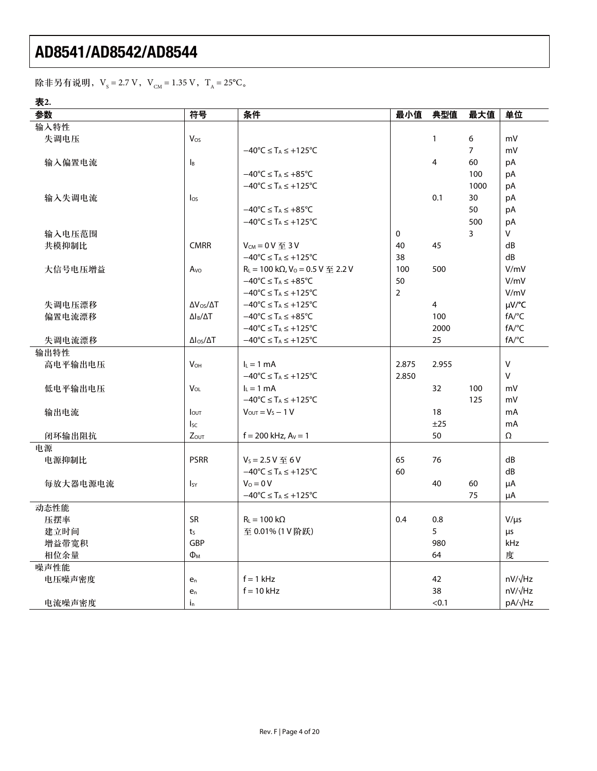除非另有说明,V<sub>s</sub>=2.7 V,V<sub>CM</sub> = 1.35 V,T<sub>A</sub> = 25°C。

表2.

| 参数       | 符号                                    | 条件                                                                              | 最小值            | 典型值            | 最大值            | 单位             |
|----------|---------------------------------------|---------------------------------------------------------------------------------|----------------|----------------|----------------|----------------|
| 输入特性     |                                       |                                                                                 |                |                |                |                |
| 失调电压     | Vos                                   |                                                                                 |                | $\mathbf{1}$   | 6              | mV             |
|          |                                       | $-40^{\circ}$ C $\leq$ T <sub>A</sub> $\leq$ +125 $^{\circ}$ C                  |                |                | $\overline{7}$ | mV             |
| 输入偏置电流   | $\mathsf{I}_{\mathsf{B}}$             |                                                                                 |                | $\overline{4}$ | 60             | pA             |
|          |                                       | $-40^{\circ}C \leq T_A \leq +85^{\circ}C$                                       |                |                | 100            | pA             |
|          |                                       | $-40^{\circ}$ C $\leq$ T <sub>A</sub> $\leq$ +125°C                             |                |                | 1000           | pA             |
| 输入失调电流   | $I_{OS}$                              |                                                                                 |                | 0.1            | 30             | pA             |
|          |                                       | $-40^{\circ}C \leq T_A \leq +85^{\circ}C$                                       |                |                | 50             | pA             |
|          |                                       | $-40^{\circ}C \leq T_A \leq +125^{\circ}C$                                      |                |                | 500            | pA             |
| 输入电压范围   |                                       |                                                                                 | 0              |                | 3              | V              |
| 共模抑制比    | <b>CMRR</b>                           | $V_{CM} = 0 V \leq 3 V$                                                         | 40             | 45             |                | dB             |
|          |                                       | $-40^{\circ}$ C $\leq$ T <sub>A</sub> $\leq$ +125 $^{\circ}$ C                  | 38             |                |                | dB             |
| 大信号电压增益  | A <sub>VO</sub>                       | $R_L$ = 100 k $\Omega$ , V <sub>o</sub> = 0.5 V $\overline{\mathfrak{D}}$ 2.2 V | 100            | 500            |                | V/mV           |
|          |                                       | $-40^{\circ}$ C $\leq$ T <sub>A</sub> $\leq$ +85 $^{\circ}$ C                   | 50             |                |                | V/mV           |
|          |                                       | $-40^{\circ}C \leq T_A \leq +125^{\circ}C$                                      | $\overline{2}$ |                |                | V/mV           |
| 失调电压漂移   | $\Delta V_{OS}/\Delta T$              | $-40^{\circ}$ C $\leq$ T <sub>A</sub> $\leq$ +125 $^{\circ}$ C                  |                | $\overline{4}$ |                | µV/°C          |
| 偏置电流漂移   | $\Delta I_B/\Delta T$                 | $-40^{\circ}C \leq T_A \leq +85^{\circ}C$                                       |                | 100            |                | fA/°C          |
|          |                                       | $-40^{\circ}$ C $\leq$ T <sub>A</sub> $\leq$ +125 $^{\circ}$ C                  |                | 2000           |                | fA/°C          |
| 失调电流漂移   | $\Delta$ l <sub>os</sub> / $\Delta$ T | $-40^{\circ}C \leq T_A \leq +125^{\circ}C$                                      |                | 25             |                | fA/°C          |
| 输出特性     |                                       |                                                                                 |                |                |                |                |
| 高电平输出电压  | $V_{OH}$                              | $I_L = 1$ mA                                                                    | 2.875          | 2.955          |                | V              |
|          |                                       | $-40^{\circ}C \leq T_A \leq +125^{\circ}C$                                      | 2.850          |                |                | V              |
| 低电平输出电压  | $V_{OL}$                              | $I_L = 1$ mA                                                                    |                | 32             | 100            | mV             |
|          |                                       | $-40^{\circ}$ C $\leq$ T <sub>A</sub> $\leq$ +125 $^{\circ}$ C                  |                |                | 125            | mV             |
| 输出电流     | $I_{OUT}$                             | $V_{OUT} = V_s - 1 V$                                                           |                | 18             |                | mA             |
|          | I <sub>SC</sub>                       |                                                                                 |                | ±25            |                | mA             |
| 闭环输出阻抗   | $Z_{OUT}$                             | $f = 200$ kHz, $A_V = 1$                                                        |                | 50             |                | Ω              |
| 电源       |                                       |                                                                                 |                |                |                |                |
| 电源抑制比    | <b>PSRR</b>                           | $V_s = 2.5 V  6 V$                                                              | 65             | 76             |                | dB             |
|          |                                       | $-40^{\circ}C \leq T_A \leq +125^{\circ}C$                                      | 60             |                |                | dB             |
| 每放大器电源电流 | <b>I</b> sy                           | $V_0 = 0 V$                                                                     |                | 40             | 60             | μA             |
|          |                                       | $-40^{\circ}C \leq T_A \leq +125^{\circ}C$                                      |                |                | 75             | μA             |
| 动态性能     |                                       |                                                                                 |                |                |                |                |
| 压摆率      | <b>SR</b>                             | $R_L = 100 k\Omega$                                                             | 0.4            | 0.8            |                | $V/\mu s$      |
| 建立时间     | t <sub>S</sub>                        | 至 0.01% (1 V 阶跃)                                                                |                | 5              |                | μs             |
| 增益带宽积    | <b>GBP</b>                            |                                                                                 |                | 980            |                | <b>kHz</b>     |
| 相位余量     | $\Phi_{M}$                            |                                                                                 |                | 64             |                | 度              |
| 噪声性能     |                                       |                                                                                 |                |                |                |                |
| 电压噪声密度   | e <sub>n</sub>                        | $f = 1$ kHz                                                                     |                | 42             |                | $nV/\sqrt{Hz}$ |
|          | e <sub>n</sub>                        | $f = 10$ kHz                                                                    |                | 38             |                | $nV/\sqrt{Hz}$ |
| 电流噪声密度   | i <sub>n</sub>                        |                                                                                 |                | < 0.1          |                | pA/√Hz         |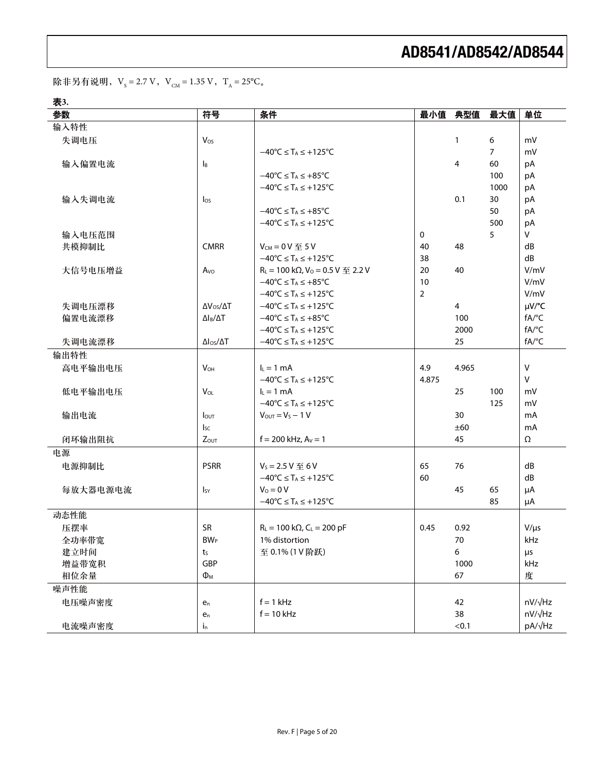除非另有说明,V<sub>s</sub> = 2.7 V,V<sub>CM</sub> = 1.35 V,T<sub>A</sub> = 25°C<sub>。</sub>

表3.

| 参数       | 符号                        | 条件                                                                              |                | 最小值 典型值      | 最大值            | 单位           |
|----------|---------------------------|---------------------------------------------------------------------------------|----------------|--------------|----------------|--------------|
| 输入特性     |                           |                                                                                 |                |              |                |              |
| 失调电压     | Vos                       |                                                                                 |                | $\mathbf{1}$ | 6              | mV           |
|          |                           | $-40^{\circ}C \leq T_A \leq +125^{\circ}C$                                      |                |              | $\overline{7}$ | mV           |
| 输入偏置电流   | $\mathsf{I}_{\mathsf{B}}$ |                                                                                 |                | 4            | 60             | pA           |
|          |                           | $-40^{\circ}C \leq T_A \leq +85^{\circ}C$                                       |                |              | 100            | pA           |
|          |                           | $-40^{\circ}C \leq T_A \leq +125^{\circ}C$                                      |                |              | 1000           | pA           |
| 输入失调电流   | $\log$                    |                                                                                 |                | 0.1          | 30             | pA           |
|          |                           | $-40^{\circ}C \leq T_A \leq +85^{\circ}C$                                       |                |              | 50             | pA           |
|          |                           | $-40^{\circ}$ C $\leq$ T <sub>A</sub> $\leq$ +125 $^{\circ}$ C                  |                |              | 500            | pA           |
| 输入电压范围   |                           |                                                                                 | 0              |              | 5              | V            |
| 共模抑制比    | <b>CMRR</b>               | $V_{CM} = 0 V \leq 5 V$                                                         | 40             | 48           |                | dB           |
|          |                           | $-40^{\circ}C \leq T_A \leq +125^{\circ}C$                                      | 38             |              |                | dB           |
| 大信号电压增益  | A <sub>vo</sub>           | $R_L$ = 100 k $\Omega$ , V <sub>0</sub> = 0.5 V $\overline{\mathfrak{D}}$ 2.2 V | 20             | 40           |                | V/mV         |
|          |                           | $-40^{\circ}C \leq T_A \leq +85^{\circ}C$                                       | 10             |              |                | V/mV         |
|          |                           | $-40^{\circ}C \leq T_A \leq +125^{\circ}C$                                      | $\overline{2}$ |              |                | V/mV         |
| 失调电压漂移   | $\Delta V_{OS}/\Delta T$  | $-40^{\circ}$ C $\leq$ T <sub>A</sub> $\leq$ +125 $^{\circ}$ C                  |                | 4            |                | µV/°C        |
| 偏置电流漂移   | $\Delta I_B/\Delta T$     | $-40^{\circ}$ C $\leq$ T <sub>A</sub> $\leq$ +85 $^{\circ}$ C                   |                | 100          |                | fA/°C        |
|          |                           | $-40^{\circ}$ C $\leq$ T <sub>A</sub> $\leq$ +125°C                             |                | 2000         |                | fA/°C        |
| 失调电流漂移   | $\Delta I_{OS}/\Delta T$  | $-40^{\circ}C \leq T_A \leq +125^{\circ}C$                                      |                | 25           |                | fA/°C        |
| 输出特性     |                           |                                                                                 |                |              |                |              |
| 高电平输出电压  | $V_{OH}$                  | $lL = 1 mA$                                                                     | 4.9            | 4.965        |                | $\mathsf{V}$ |
|          |                           | $-40^{\circ}$ C $\leq$ T <sub>A</sub> $\leq$ +125 $^{\circ}$ C                  | 4.875          |              |                | $\mathsf{V}$ |
| 低电平输出电压  | <b>V<sub>OL</sub></b>     | $I_L = 1$ mA                                                                    |                | 25           | 100            | mV           |
|          |                           | $-40^{\circ}C \leq T_A \leq +125^{\circ}C$                                      |                |              | 125            | mV           |
| 输出电流     | <b>I</b> out              | $V_{\text{OUT}} = V_{\text{S}} - 1 V$                                           |                | 30           |                | mA           |
|          | <sub>sc</sub>             |                                                                                 |                | ±60          |                | mA           |
| 闭环输出阻抗   | $Z_{OUT}$                 | $f = 200$ kHz, $Av = 1$                                                         |                | 45           |                | Ω            |
| 电源       |                           |                                                                                 |                |              |                |              |
| 电源抑制比    | <b>PSRR</b>               | $V_s = 2.5 V \le 6 V$                                                           | 65             | 76           |                | dB           |
|          |                           | $-40^{\circ}C \leq T_A \leq +125^{\circ}C$                                      | 60             |              |                | dB           |
| 每放大器电源电流 | Isy                       | $V_0 = 0 V$                                                                     |                | 45           | 65             | μA           |
|          |                           | $-40^{\circ}C \leq T_A \leq +125^{\circ}C$                                      |                |              | 85             | μA           |
| 动态性能     |                           |                                                                                 |                |              |                |              |
| 压摆率      | <b>SR</b>                 | $R_L = 100 \text{ k}\Omega$ , $C_L = 200 \text{ pF}$                            | 0.45           | 0.92         |                | $V/\mu s$    |
| 全功率带宽    | <b>BW</b> <sub>P</sub>    | 1% distortion                                                                   |                | 70           |                | kHz          |
| 建立时间     | $t_{S}$                   | 至 0.1% (1 V 阶跃)                                                                 |                | 6            |                | μs           |
| 增益带宽积    | GBP                       |                                                                                 |                | 1000         |                | kHz          |
| 相位余量     | $\Phi_{\mathsf{M}}$       |                                                                                 |                | 67           |                | 度            |
| 噪声性能     |                           |                                                                                 |                |              |                |              |
| 电压噪声密度   | $e_n$                     | $f = 1$ kHz                                                                     |                | 42           |                | nV/√Hz       |
|          | $e_n$                     | $f = 10$ kHz                                                                    |                | 38           |                | nV/√Hz       |
| 电流噪声密度   | $i_{n}$                   |                                                                                 |                | < 0.1        |                | pA/√Hz       |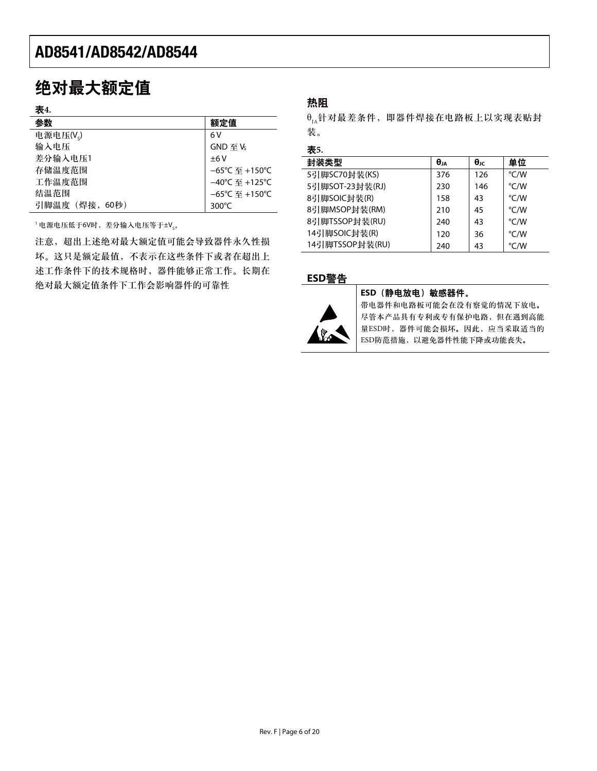### 绝对最大额定值

| $\sim$<br>×<br>۰.<br>٠ |
|------------------------|
|------------------------|

| <b>TX4.</b>    |                                     |
|----------------|-------------------------------------|
| 参数             | 额定值                                 |
| 电源电压(V。)       | 6 V                                 |
| 输入电压           | $GND \ncong V_5$                    |
| 差分输入电压1        | ±6V                                 |
| 存储温度范围         | $-65^{\circ}$ C 至 +150 $^{\circ}$ C |
| 工作温度范围         | $-40^{\circ}$ C 至 +125°C            |
| 结温范围           | $-65^{\circ}$ C 至 +150 $^{\circ}$ C |
| 引脚温度 (焊接, 60秒) | $300^{\circ}$ C                     |
|                |                                     |

'电源电压低于6V时,差分输入电压等于±V<sub>s</sub>。

注意, 超出上述绝对最大额定值可能会导致器件永久性损 坏。这只是额定最值,不表示在这些条件下或者在超出上 述工作条件下的技术规格时,器件能够正常工作。长期在 绝对最大额定值条件下工作会影响器件的可靠性

#### 热阻

 $\theta_{1_A}$ 针对最差条件,即器件焊接在电路板上以实现表贴封 装。

#### 表5.

| 封装类型            | θja | $\theta$ JC | 单位   |
|-----------------|-----|-------------|------|
| 5引脚SC70封装(KS)   | 376 | 126         | °C/W |
| 5引脚SOT-23封装(RJ) | 230 | 146         | °C/W |
| 8引脚SOIC封装(R)    | 158 | 43          | °C/W |
| 8引脚MSOP封装(RM)   | 210 | 45          | °C/W |
| 8引脚TSSOP封装(RU)  | 240 | 43          | °C/W |
| 14引脚SOIC封装(R)   | 120 | 36          | °C/W |
| 14引脚TSSOP封装(RU) | 240 | 43          | °C/W |

#### ߢ**ESD**য়



#### **ESD** (静电放电) 敏感器件。

带电器件和电路板可能会在没有察觉的情况下放电。 尽管本产品具有专利或专有保护电路,但在遇到高能 量ESD时,器件可能会损坏。因此,应当采取适当的 ESD防范措施, 以避免器件性能下降或功能丧失。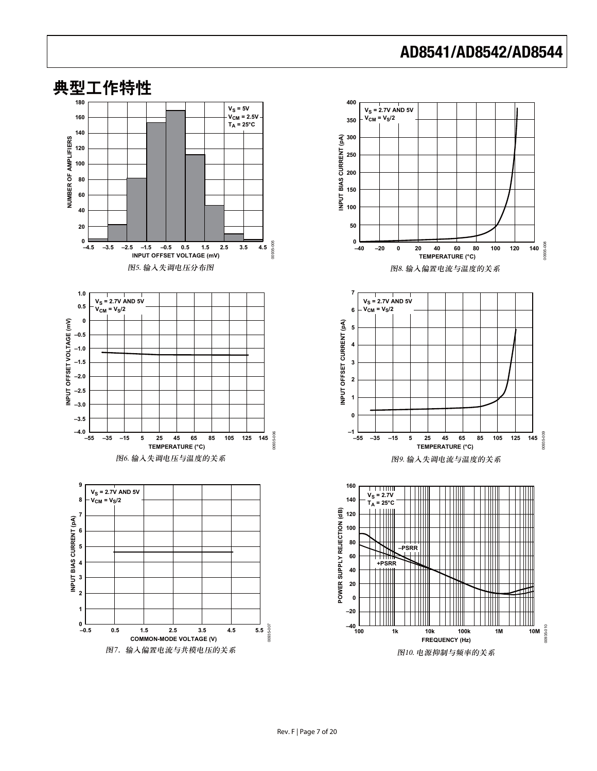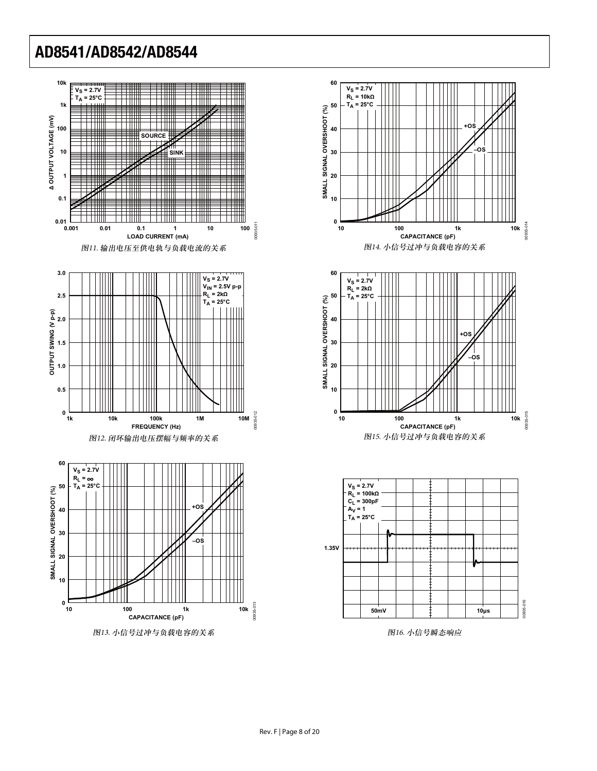



**30**

**20**

**10**



**–OS**

图16. 小信号瞬态响应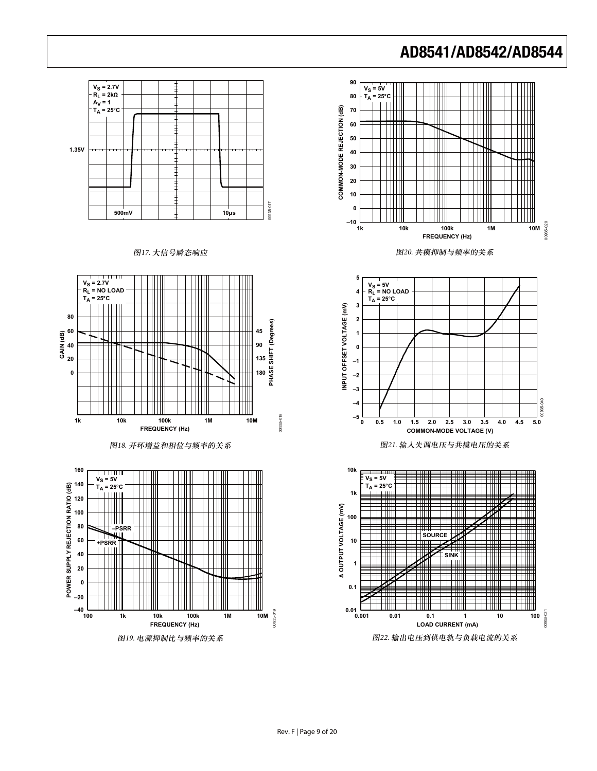

#### Rev. F | Page 9 of 20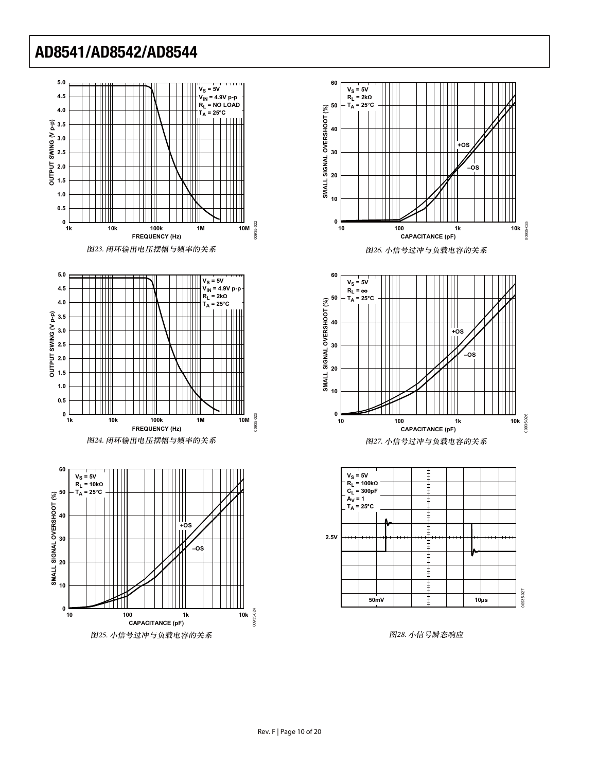













图28. 小信号瞬态响应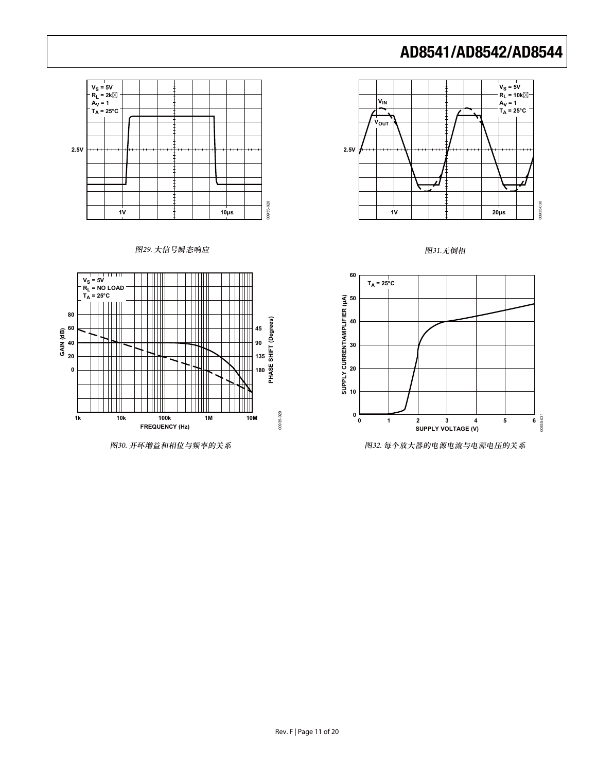













图30. 开环增益和相位与频率的关系 20. 第2020 第2020 第2021 第2021 第2021 第2022 每个放大器的电源电流与电源电压的关系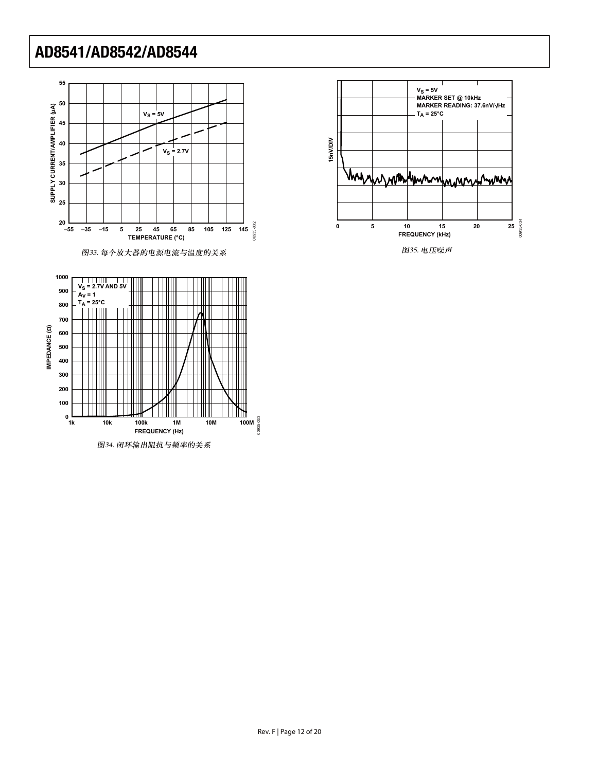



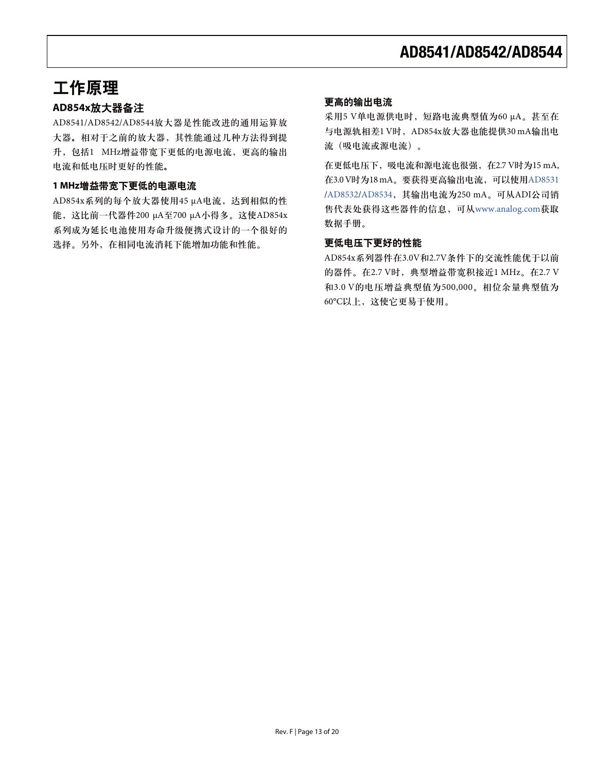### 工作原理

#### **AD854x放大器备注**

AD8541/AD8542/AD8544放大器是性能改进的通用运算放 大器。相对于之前的放大器,其性能通过几种方法得到提 升, 包括1 MHz增益带宽下更低的电源电流, 更高的输出 电流和低电压时更好的性能。

#### 1 MHz增益带宽下更低的电源电流

AD854x系列的每个放大器使用45 μA电流, 达到相似的性 能, 这比前一代器件200 μA至700 μA小得多。这使AD854x 系列成为延长电池使用寿命升级便携式设计的一个很好的 选择。另外, 在相同电流消耗下能增加功能和性能。

#### 更高的输出电流

采用5 V单电源供电时, 短路电流典型值为60 μA。甚至在 与电源轨相差1 V时, AD854x放大器也能提供30 mA输出电 流 (吸电流或源电流)。

在更低电压下, 吸电流和源电流也很强, 在2.7 V时为[15 mA,](http://www.analog.com/zh/audiovideo-products/display-driver-electronics/ad8531/products/product.html) 在3.0 V时为[18 mA](http://www.analog.com/zh/audiovideo-products/display-driver-electronics/ad8534/products/product.html)。要获得更高输出电流,可以使用AD8531 /[AD8532](http://www.analog.com/zh/audiovideo-products/display-driver-electronics/ad8532/products/product.html)/AD8534, 其输出电流为250 mA。可从ADI公司销 售代表处获得这些器件的信息,可从[www.analog.com](http://www.analog.com/zh/index.html)获取 数据手册。

#### 更低电压下更好的性能

AD854x系列器件在3.0V和2.7V条件下的交流性能优于以前 的器件。在2.7 V时, 典型增益带宽积接近1 MHz。在2.7 V 和3.0 V的电压增益典型值为500,000。相位余量典型值为 60°C以上, 这使它更易于使用。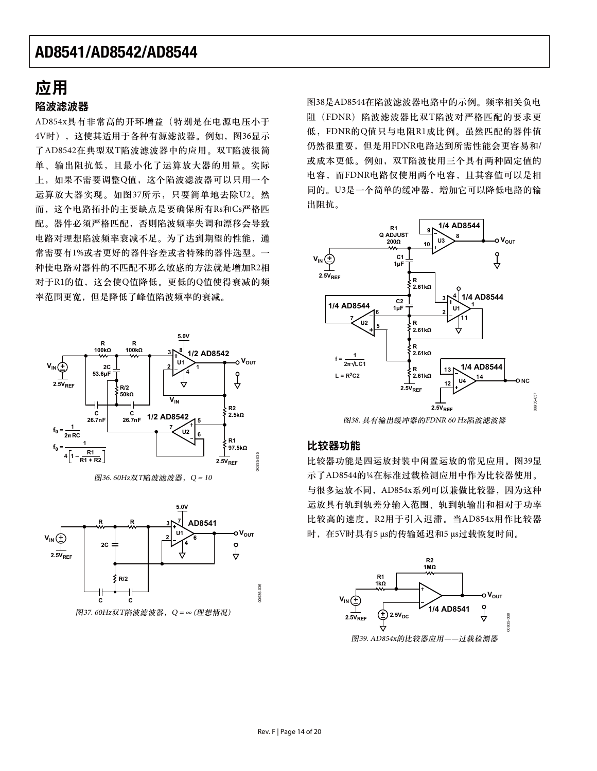### 应用

#### 陷波滤波器

AD854x具有非常高的开环增益(特别是在电源电压小于 4V时), 这使其适用于各种有源滤波器。例如, 图36显示 了AD8542在典型双T陷波滤波器中的应用。双T陷波很简 单、输出阻抗低,目最小化了运算放大器的用量。实际 上, 如果不需要调整O值, 这个陷波滤波器可以只用一个 运算放大器实现。如图37所示, 只要简单地去除U2。然 而, 这个电路拓扑的主要缺点是要确保所有Rs和Cs严格匹 配。器件必须严格匹配,否则陷波频率失调和漂移会导致 电路对理想陷波频率衰减不足。为了达到期望的性能,通 常需要有1%或者更好的器件容差或者特殊的器件选型。一 种使电路对器件的不匹配不那么敏感的方法就是增加R2相 对于R1的值, 这会使O值降低。更低的O值使得衰减的频 率范围更宽, 但是降低了峰值陷波频率的衰减。





 $B$ 37. 60Hz双T陷波滤波器, Q = ∞ (理想情况)

图38是AD8544在陷波滤波器电路中的示例。频率相关负电 阻 (FDNR) 陷波滤波器比双T陷波对严格匹配的要求更 低, FDNR的Q值只与电阻R1成比例。虽然匹配的器件值 仍然很重要,但是用FDNR电路达到所需性能会更容易和/ 或成本更低。例如, 双T陷波使用三个具有两种固定值的 电容, 而FDNR电路仅使用两个电容, 且其容值可以是相 同的。U3是一个简单的缓冲器, 增加它可以降低电路的输 出阻抗。



图38. 具有输出缓冲器的FDNR 60 Hz陷波滤波器

#### 比较器功能

比较器功能是四运放封装中闲置运放的常见应用。图39显 示了AD8544的½在标准过载检测应用中作为比较器使用。 与很多运放不同, AD854x系列可以兼做比较器, 因为这种 运放具有轨到轨差分输入范围、轨到轨输出和相对于功率 比较高的速度。R2用于引入迟滞。当AD854x用作比较器 时, 在5V时具有5 μs的传输延迟和5 μs过载恢复时间。

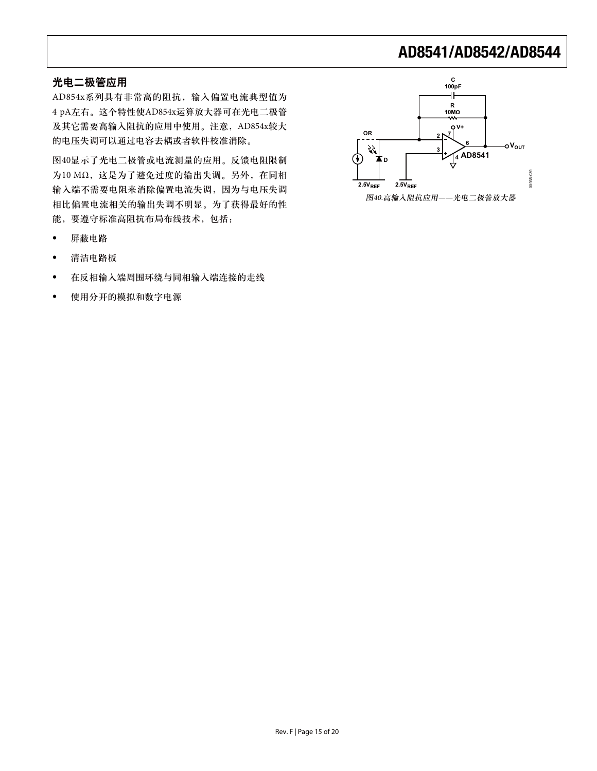#### 光电二极管应用

AD854x系列具有非常高的阻抗, 输入偏置电流典型值为 4 pA左右。这个特性使AD854x运算放大器可在光电二极管 及其它需要高输入阻抗的应用中使用。注意, AD854x较大 的电压失调可以通过电容去耦或者软件校准消除。

图40显示了光电二极管或电流测量的应用。反馈电阻限制 为10 MΩ, 这是为了避免过度的输出失调。另外, 在同相 输入端不需要电阻来消除偏置电流失调,因为与电压失调 相比偏置电流相关的输出失调不明显。为了获得最好的性 能,要遵守标准高阻抗布局布线技术,包括:

- 屏蔽电路
- 清洁电路板
- 在反相输入端周围环绕与同相输入端连接的走线
- 使用分开的模拟和数字电源

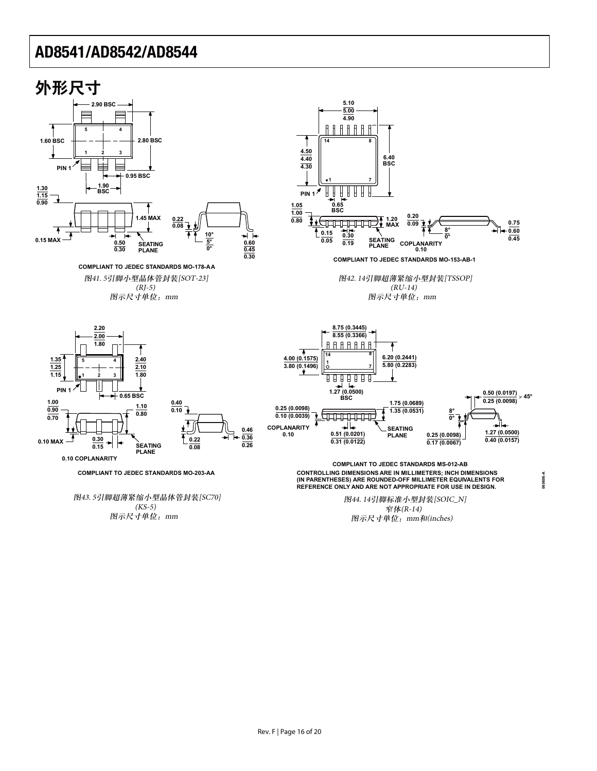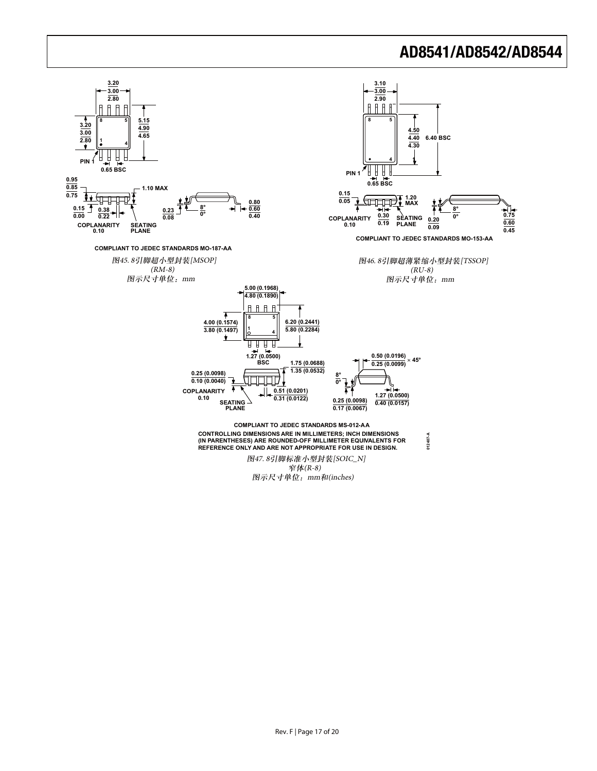

Rev. F | Page 17 of 20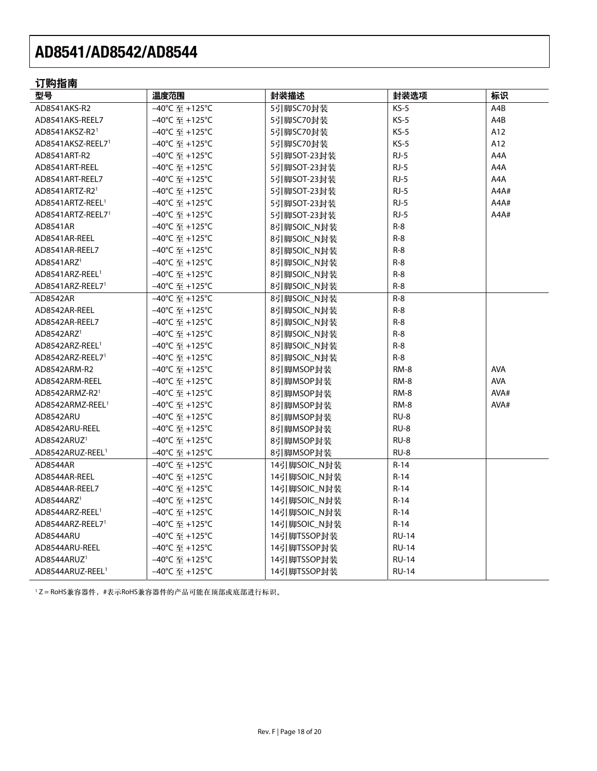### 订购指南

| 型号                            | 温度范围                                            | 封装描述         | 封装选项         | 标识         |
|-------------------------------|-------------------------------------------------|--------------|--------------|------------|
| AD8541AKS-R2                  | -40°C 至 +125°C                                  | 5引脚SC70封装    | $KS-5$       | A4B        |
| AD8541AKS-REEL7               | –40℃ 至 +125℃                                    | 5引脚SC70封装    | $KS-5$       | A4B        |
| AD8541AKSZ-R2 <sup>1</sup>    | –40°C 至 +125°C                                  | 5引脚SC70封装    | $KS-5$       | A12        |
| AD8541AKSZ-REEL7 <sup>1</sup> | –40℃ 至 +125℃                                    | 5引脚SC70封装    | $KS-5$       | A12        |
| AD8541ART-R2                  | -40℃ 至 +125℃                                    | 5引脚SOT-23封装  | $RJ-5$       | A4A        |
| AD8541ART-REEL                | -40℃ 至 +125℃                                    | 5引脚SOT-23封装  | $RJ-5$       | A4A        |
| AD8541ART-REEL7               | –40°C 至 +125°C                                  | 5引脚SOT-23封装  | $RJ-5$       | A4A        |
| AD8541ARTZ-R2 <sup>1</sup>    | –40℃ 至 +125℃                                    | 5引脚SOT-23封装  | $RJ-5$       | A4A#       |
| AD8541ARTZ-REEL <sup>1</sup>  | –40°C 至 +125°C                                  | 5引脚SOT-23封装  | $RJ-5$       | A4A#       |
| AD8541ARTZ-REEL7 <sup>1</sup> | –40℃ 至 +125℃                                    | 5引脚SOT-23封装  | $RJ-5$       | A4A#       |
| AD8541AR                      | -40℃ 至 +125℃                                    | 8引脚SOIC_N封装  | $R-8$        |            |
| AD8541AR-REEL                 | –40℃ 至 +125℃                                    | 8引脚SOIC_N封装  | $R-8$        |            |
| AD8541AR-REEL7                | –40℃ 至 +125℃                                    | 8引脚SOIC_N封装  | $R-8$        |            |
| AD8541ARZ <sup>1</sup>        | –40℃ 至 +125℃                                    | 8引脚SOIC_N封装  | $R-8$        |            |
| AD8541ARZ-REEL <sup>1</sup>   | –40℃ 至 +125℃                                    | 8引脚SOIC_N封装  | $R-8$        |            |
| AD8541ARZ-REEL71              | –40℃ 至 +125℃                                    | 8引脚SOIC_N封装  | $R-8$        |            |
| AD8542AR                      | –40°C 至 +125°C                                  | 8引脚SOIC_N封装  | $R-8$        |            |
| AD8542AR-REEL                 | –40℃ 至 +125℃                                    | 8引脚SOIC_N封装  | $R-8$        |            |
| AD8542AR-REEL7                | -40°C 至 +125°C                                  | 8引脚SOIC_N封装  | $R-8$        |            |
| AD8542ARZ <sup>1</sup>        | –40°C 至 +125°C                                  | 8引脚SOIC_N封装  | $R-8$        |            |
| AD8542ARZ-REEL <sup>1</sup>   | –40℃ 至 +125℃                                    | 8引脚SOIC_N封装  | $R-8$        |            |
| AD8542ARZ-REEL71              | –40°C 至 +125°C                                  | 8引脚SOIC_N封装  | $R-8$        |            |
| AD8542ARM-R2                  | –40℃ 至 +125℃                                    | 8引脚MSOP封装    | $RM-8$       | <b>AVA</b> |
| AD8542ARM-REEL                | –40℃ 至 +125℃                                    | 8引脚MSOP封装    | RM-8         | AVA        |
| AD8542ARMZ-R2 <sup>1</sup>    | –40°C 至 +125°C                                  | 8引脚MSOP封装    | RM-8         | AVA#       |
| AD8542ARMZ-REEL <sup>1</sup>  | –40℃ 至 +125℃                                    | 8引脚MSOP封装    | RM-8         | AVA#       |
| AD8542ARU                     | –40℃ 至 +125℃                                    | 8引脚MSOP封装    | $RU-8$       |            |
| AD8542ARU-REEL                | -40℃ 至 +125℃                                    | 8引脚MSOP封装    | RU-8         |            |
| AD8542ARUZ <sup>1</sup>       | -40℃至+125°C                                     | 8引脚MSOP封装    | RU-8         |            |
| AD8542ARUZ-REEL <sup>1</sup>  | –40℃ 至 +125℃                                    | 8引脚MSOP封装    | RU-8         |            |
| AD8544AR                      | –40℃ 至 +125℃                                    | 14引脚SOIC_N封装 | $R-14$       |            |
| AD8544AR-REEL                 | -40℃ 至 +125℃                                    | 14引脚SOIC_N封装 | $R-14$       |            |
| AD8544AR-REEL7                | –40°C $\overline{\mathbf{\mathfrak{D}}}$ +125°C | 14引脚SOIC_N封装 | $R-14$       |            |
| AD8544ARZ <sup>1</sup>        | –40℃ 至 +125℃                                    | 14引脚SOIC_N封装 | $R-14$       |            |
| AD8544ARZ-REEL <sup>1</sup>   | –40°C $\overline{\mathbf{\mathfrak{D}}}$ +125°C | 14引脚SOIC_N封装 | $R-14$       |            |
| AD8544ARZ-REEL71              | –40°C 至 +125°C                                  | 14引脚SOIC_N封装 | $R-14$       |            |
| AD8544ARU                     | –40°C $\overline{\mathbf{\mathfrak{D}}}$ +125°C | 14引脚TSSOP封装  | RU-14        |            |
| AD8544ARU-REEL                | -40℃ 至 +125℃                                    | 14引脚TSSOP封装  | <b>RU-14</b> |            |
| AD8544ARUZ <sup>1</sup>       | –40℃ 至 +125℃                                    | 14引脚TSSOP封装  | <b>RU-14</b> |            |
| AD8544ARUZ-REEL <sup>1</sup>  | –40°C 至 +125°C                                  | 14引脚TSSOP封装  | <b>RU-14</b> |            |

1Z=RoHS兼容器件,#表示RoHS兼容器件的产品可能在顶部或底部进行标识。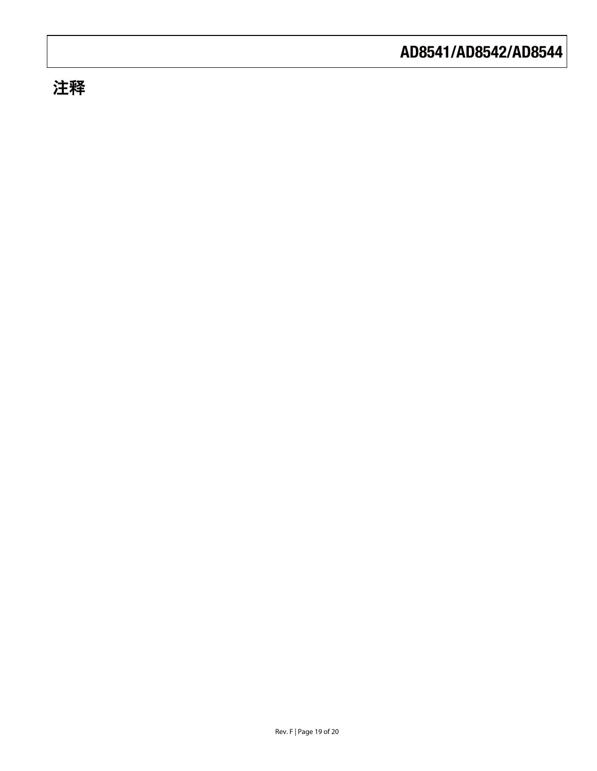### 注释